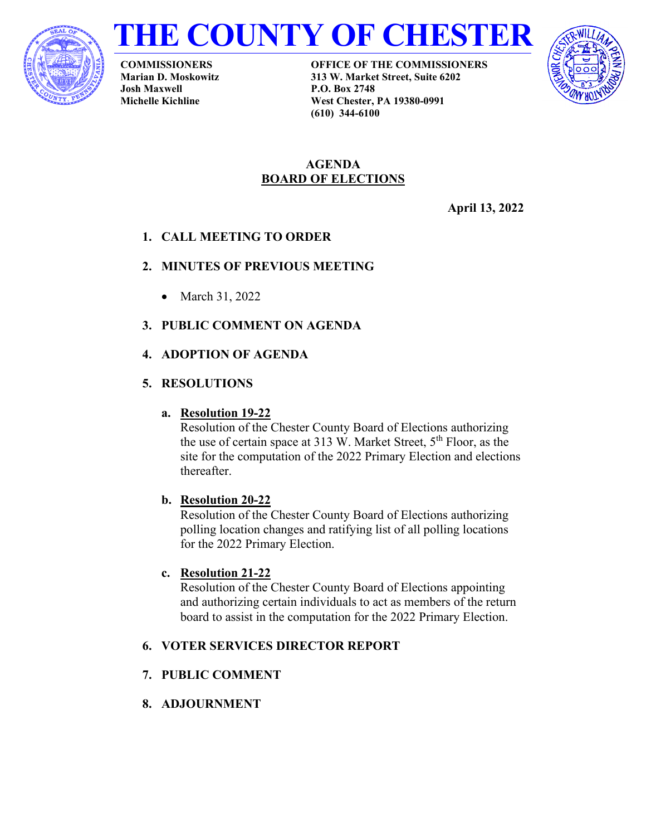



**COMMISSIONERS Marian D. Moskowitz Josh Maxwell Michelle Kichline**

**OFFICE OF THE COMMISSIONERS 313 W. Market Street, Suite 6202 P.O. Box 2748 West Chester, PA 19380-0991 (610) 344-6100**



# **AGENDA BOARD OF ELECTIONS**

**April 13, 2022**

# **1. CALL MEETING TO ORDER**

# **2. MINUTES OF PREVIOUS MEETING**

- March 31, 2022
- **3. PUBLIC COMMENT ON AGENDA**

# **4. ADOPTION OF AGENDA**

# **5. RESOLUTIONS**

# **a. Resolution 19-22**

Resolution of the Chester County Board of Elections authorizing the use of certain space at 313 W. Market Street, 5<sup>th</sup> Floor, as the site for the computation of the 2022 Primary Election and elections thereafter.

## **b. Resolution 20-22**

Resolution of the Chester County Board of Elections authorizing polling location changes and ratifying list of all polling locations for the 2022 Primary Election.

## **c. Resolution 21-22**

Resolution of the Chester County Board of Elections appointing and authorizing certain individuals to act as members of the return board to assist in the computation for the 2022 Primary Election.

## **6. VOTER SERVICES DIRECTOR REPORT**

# **7. PUBLIC COMMENT**

## **8. ADJOURNMENT**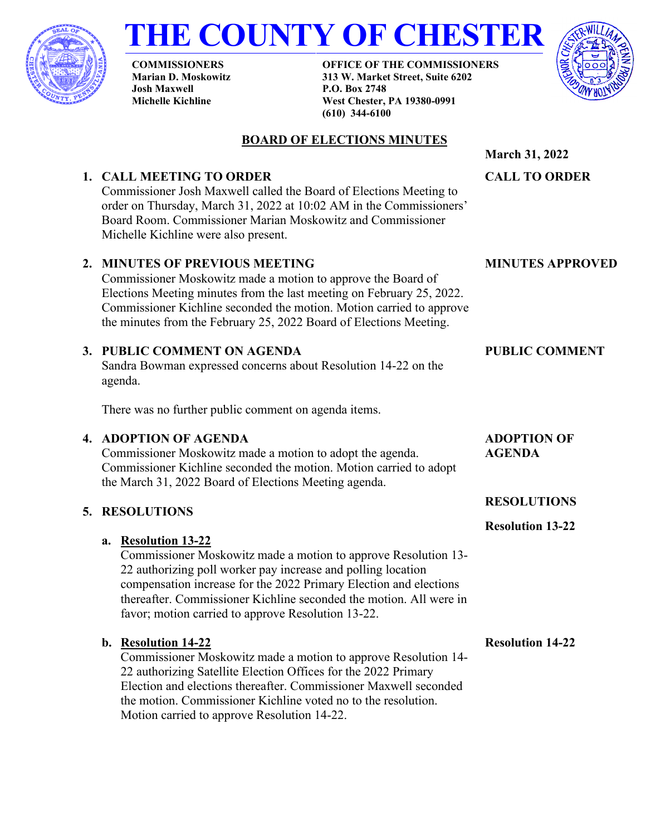

# **THE COUNTY OF CHESTER**

**COMMISSIONERS Marian D. Moskowitz Josh Maxwell Michelle Kichline**

**OFFICE OF THE COMMISSIONERS 313 W. Market Street, Suite 6202 P.O. Box 2748 West Chester, PA 19380-0991 (610) 344-6100**



# **BOARD OF ELECTIONS MINUTES**

#### **1. CALL MEETING TO ORDER** Commissioner Josh Maxwell called the Board of Elections Meeting to order on Thursday, March 31, 2022 at 10:02 AM in the Commissioners' Board Room. Commissioner Marian Moskowitz and Commissioner Michelle Kichline were also present. **CALL TO ORDER 2. MINUTES OF PREVIOUS MEETING** Commissioner Moskowitz made a motion to approve the Board of Elections Meeting minutes from the last meeting on February 25, 2022. Commissioner Kichline seconded the motion. Motion carried to approve the minutes from the February 25, 2022 Board of Elections Meeting. **MINUTES APPROVED 3. PUBLIC COMMENT ON AGENDA** Sandra Bowman expressed concerns about Resolution 14-22 on the **PUBLIC COMMENT**

There was no further public comment on agenda items.

# **4. ADOPTION OF AGENDA**

Commissioner Moskowitz made a motion to adopt the agenda. Commissioner Kichline seconded the motion. Motion carried to adopt the March 31, 2022 Board of Elections Meeting agenda.

# **5. RESOLUTIONS**

agenda.

# **a. Resolution 13-22**

Commissioner Moskowitz made a motion to approve Resolution 13- 22 authorizing poll worker pay increase and polling location compensation increase for the 2022 Primary Election and elections thereafter. Commissioner Kichline seconded the motion. All were in favor; motion carried to approve Resolution 13-22.

# **b. Resolution 14-22**

Commissioner Moskowitz made a motion to approve Resolution 14- 22 authorizing Satellite Election Offices for the 2022 Primary Election and elections thereafter. Commissioner Maxwell seconded the motion. Commissioner Kichline voted no to the resolution. Motion carried to approve Resolution 14-22.

**ADOPTION OF AGENDA**

**March 31, 2022**

# **RESOLUTIONS**

**Resolution 13-22**

**Resolution 14-22**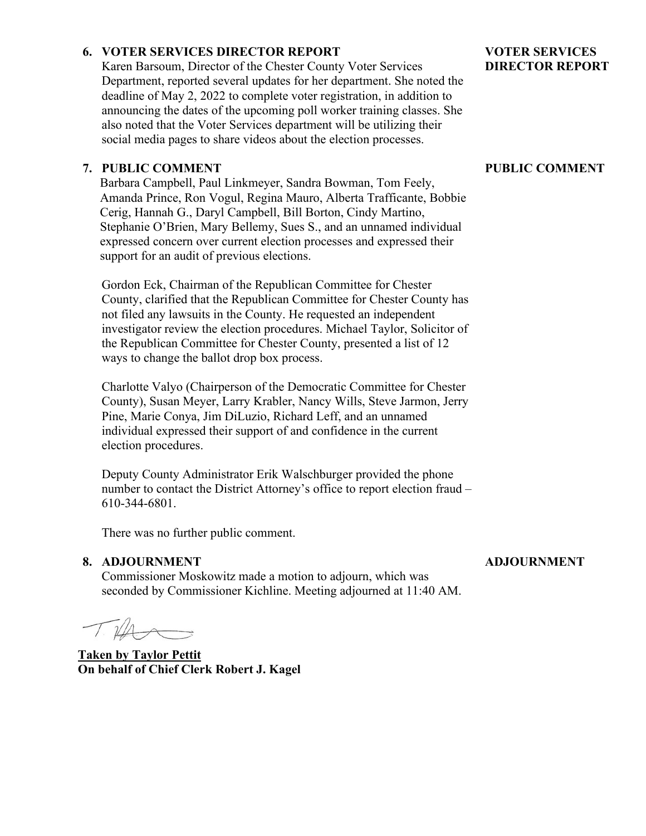## **6. VOTER SERVICES DIRECTOR REPORT**

Karen Barsoum, Director of the Chester County Voter Services Department, reported several updates for her department. She noted the deadline of May 2, 2022 to complete voter registration, in addition to announcing the dates of the upcoming poll worker training classes. She also noted that the Voter Services department will be utilizing their social media pages to share videos about the election processes.

#### **7. PUBLIC COMMENT**

Barbara Campbell, Paul Linkmeyer, Sandra Bowman, Tom Feely, Amanda Prince, Ron Vogul, Regina Mauro, Alberta Trafficante, Bobbie Cerig, Hannah G., Daryl Campbell, Bill Borton, Cindy Martino, Stephanie O'Brien, Mary Bellemy, Sues S., and an unnamed individual expressed concern over current election processes and expressed their support for an audit of previous elections.

Gordon Eck, Chairman of the Republican Committee for Chester County, clarified that the Republican Committee for Chester County has not filed any lawsuits in the County. He requested an independent investigator review the election procedures. Michael Taylor, Solicitor of the Republican Committee for Chester County, presented a list of 12 ways to change the ballot drop box process.

Charlotte Valyo (Chairperson of the Democratic Committee for Chester County), Susan Meyer, Larry Krabler, Nancy Wills, Steve Jarmon, Jerry Pine, Marie Conya, Jim DiLuzio, Richard Leff, and an unnamed individual expressed their support of and confidence in the current election procedures.

Deputy County Administrator Erik Walschburger provided the phone number to contact the District Attorney's office to report election fraud – 610-344-6801.

There was no further public comment.

#### **8. ADJOURNMENT**

Commissioner Moskowitz made a motion to adjourn, which was seconded by Commissioner Kichline. Meeting adjourned at 11:40 AM.

**Taken by Taylor Pettit On behalf of Chief Clerk Robert J. Kagel**

#### **VOTER SERVICES DIRECTOR REPORT**

#### **PUBLIC COMMENT**

#### **ADJOURNMENT**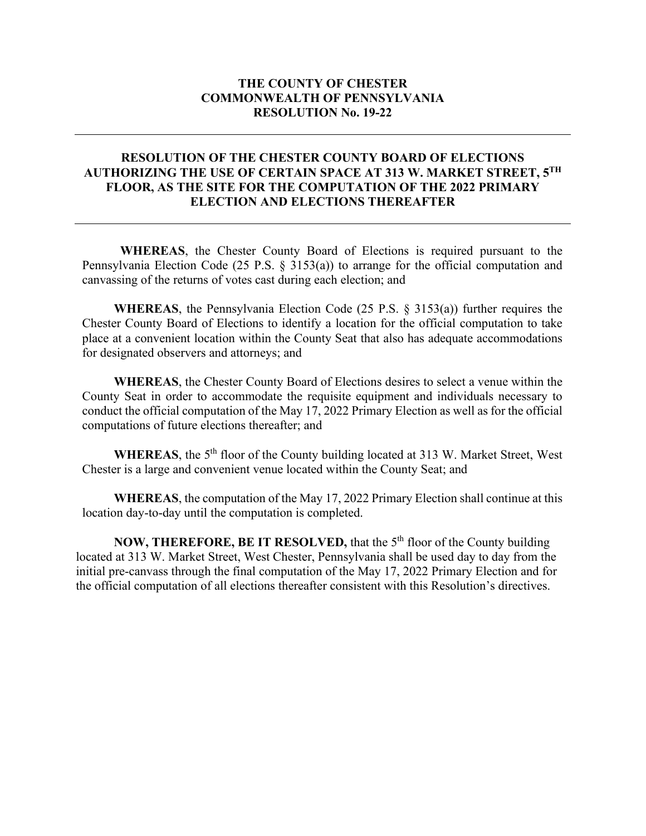#### **THE COUNTY OF CHESTER COMMONWEALTH OF PENNSYLVANIA RESOLUTION No. 19-22**

#### **RESOLUTION OF THE CHESTER COUNTY BOARD OF ELECTIONS AUTHORIZING THE USE OF CERTAIN SPACE AT 313 W. MARKET STREET, 5TH FLOOR, AS THE SITE FOR THE COMPUTATION OF THE 2022 PRIMARY ELECTION AND ELECTIONS THEREAFTER**

**WHEREAS**, the Chester County Board of Elections is required pursuant to the Pennsylvania Election Code (25 P.S. § 3153(a)) to arrange for the official computation and canvassing of the returns of votes cast during each election; and

**WHEREAS**, the Pennsylvania Election Code (25 P.S. § 3153(a)) further requires the Chester County Board of Elections to identify a location for the official computation to take place at a convenient location within the County Seat that also has adequate accommodations for designated observers and attorneys; and

**WHEREAS**, the Chester County Board of Elections desires to select a venue within the County Seat in order to accommodate the requisite equipment and individuals necessary to conduct the official computation of the May 17, 2022 Primary Election as well as for the official computations of future elections thereafter; and

WHEREAS, the 5<sup>th</sup> floor of the County building located at 313 W. Market Street, West Chester is a large and convenient venue located within the County Seat; and

**WHEREAS**, the computation of the May 17, 2022 Primary Election shall continue at this location day-to-day until the computation is completed.

**NOW, THEREFORE, BE IT RESOLVED, that the 5<sup>th</sup> floor of the County building** located at 313 W. Market Street, West Chester, Pennsylvania shall be used day to day from the initial pre-canvass through the final computation of the May 17, 2022 Primary Election and for the official computation of all elections thereafter consistent with this Resolution's directives.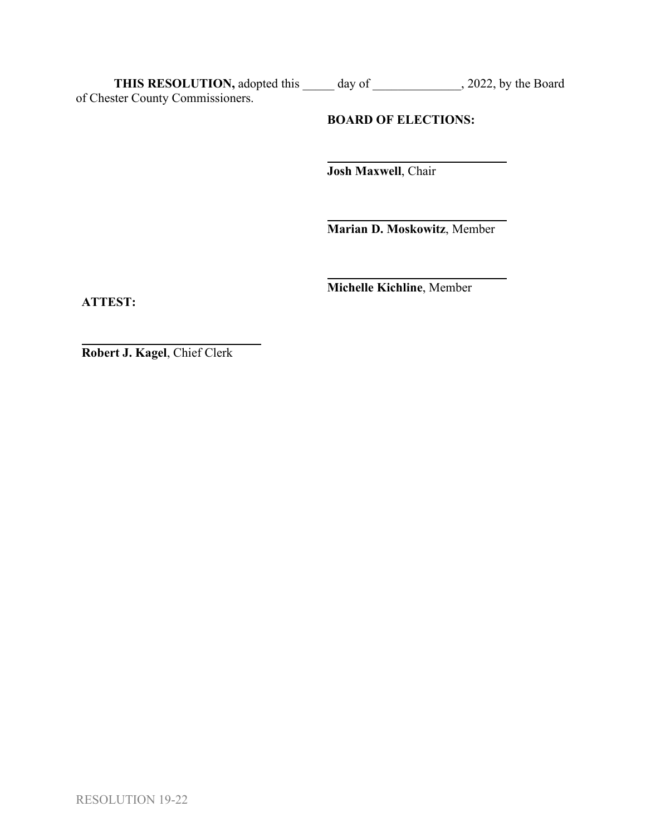**THIS RESOLUTION,** adopted this \_\_\_\_\_ day of \_\_\_\_\_\_\_\_\_\_\_\_\_\_, 2022, by the Board of Chester County Commissioners.

# **BOARD OF ELECTIONS:**

**Josh Maxwell**, Chair

**Marian D. Moskowitz**, Member

**Michelle Kichline**, Member

**ATTEST:**

**Robert J. Kagel**, Chief Clerk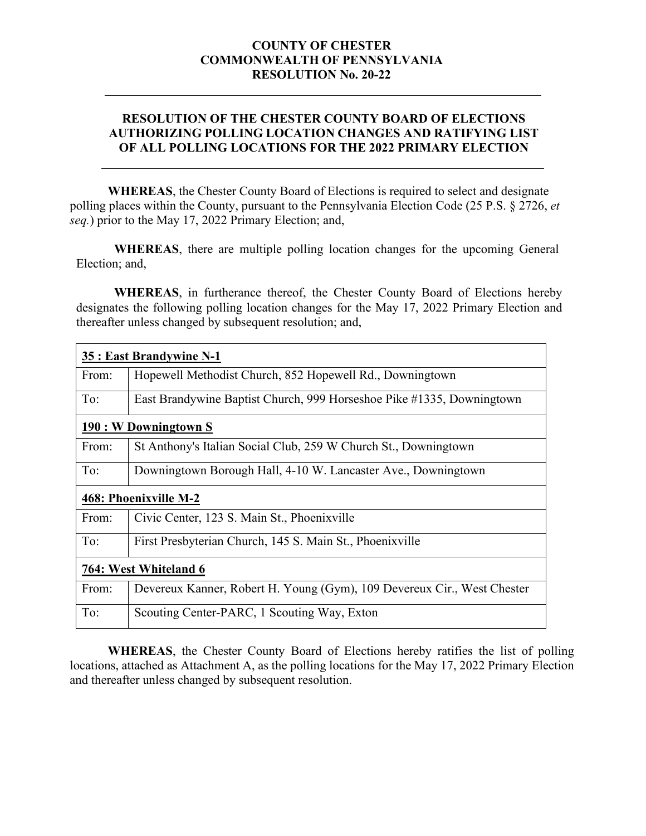#### **COUNTY OF CHESTER COMMONWEALTH OF PENNSYLVANIA RESOLUTION No. 20-22**

## **RESOLUTION OF THE CHESTER COUNTY BOARD OF ELECTIONS AUTHORIZING POLLING LOCATION CHANGES AND RATIFYING LIST OF ALL POLLING LOCATIONS FOR THE 2022 PRIMARY ELECTION**

**WHEREAS**, the Chester County Board of Elections is required to select and designate polling places within the County, pursuant to the Pennsylvania Election Code (25 P.S. § 2726, *et seq.*) prior to the May 17, 2022 Primary Election; and,

**WHEREAS**, there are multiple polling location changes for the upcoming General Election; and,

**WHEREAS**, in furtherance thereof, the Chester County Board of Elections hereby designates the following polling location changes for the May 17, 2022 Primary Election and thereafter unless changed by subsequent resolution; and,

| 35 : East Brandywine N-1 |                                                                         |  |
|--------------------------|-------------------------------------------------------------------------|--|
| From:                    | Hopewell Methodist Church, 852 Hopewell Rd., Downingtown                |  |
| To:                      | East Brandywine Baptist Church, 999 Horseshoe Pike #1335, Downingtown   |  |
| 190 : W Downingtown S    |                                                                         |  |
| From:                    | St Anthony's Italian Social Club, 259 W Church St., Downingtown         |  |
| To:                      | Downingtown Borough Hall, 4-10 W. Lancaster Ave., Downingtown           |  |
| 468: Phoenixville M-2    |                                                                         |  |
| From:                    | Civic Center, 123 S. Main St., Phoenixville                             |  |
| To:                      | First Presbyterian Church, 145 S. Main St., Phoenixville                |  |
| 764: West Whiteland 6    |                                                                         |  |
| From:                    | Devereux Kanner, Robert H. Young (Gym), 109 Devereux Cir., West Chester |  |
| To:                      | Scouting Center-PARC, 1 Scouting Way, Exton                             |  |

**WHEREAS**, the Chester County Board of Elections hereby ratifies the list of polling locations, attached as Attachment A, as the polling locations for the May 17, 2022 Primary Election and thereafter unless changed by subsequent resolution.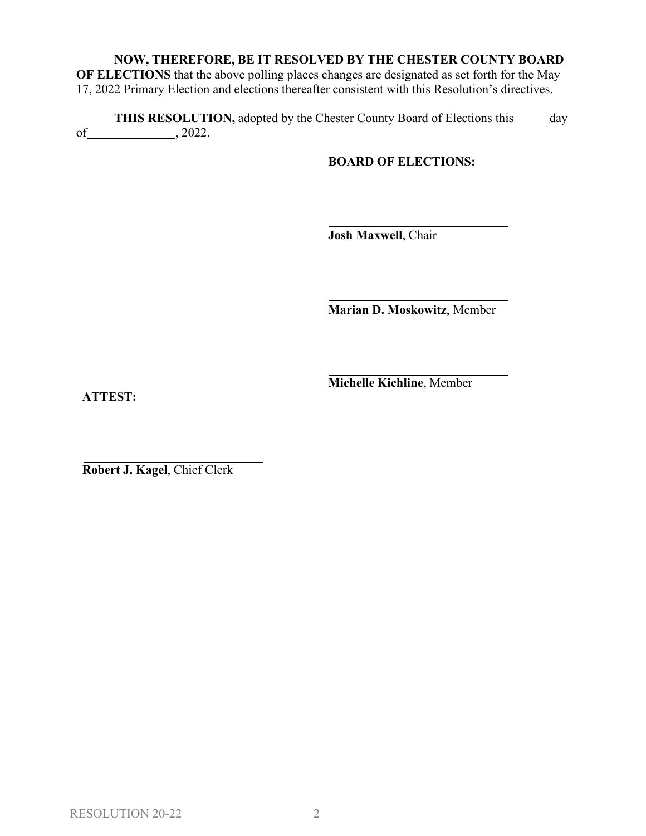# **NOW, THEREFORE, BE IT RESOLVED BY THE CHESTER COUNTY BOARD**

**OF ELECTIONS** that the above polling places changes are designated as set forth for the May 17, 2022 Primary Election and elections thereafter consistent with this Resolution's directives.

**THIS RESOLUTION,** adopted by the Chester County Board of Elections this day of  $\frac{1}{2022}$ .

#### **BOARD OF ELECTIONS:**

**Josh Maxwell**, Chair

**Marian D. Moskowitz**, Member

**Michelle Kichline**, Member

**ATTEST:**

**Robert J. Kagel**, Chief Clerk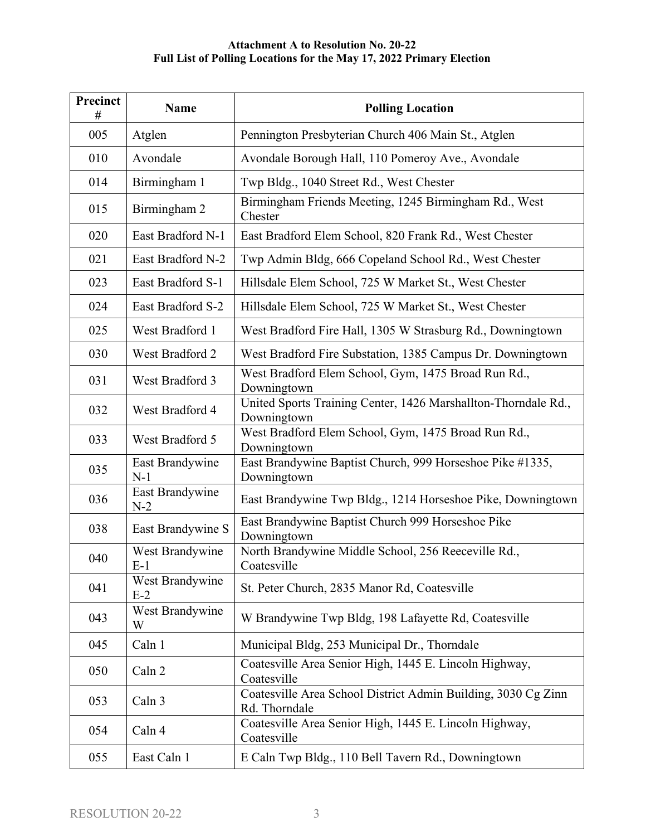| Precinct<br># | Name                     | <b>Polling Location</b>                                                        |
|---------------|--------------------------|--------------------------------------------------------------------------------|
| 005           | Atglen                   | Pennington Presbyterian Church 406 Main St., Atglen                            |
| 010           | Avondale                 | Avondale Borough Hall, 110 Pomeroy Ave., Avondale                              |
| 014           | Birmingham 1             | Twp Bldg., 1040 Street Rd., West Chester                                       |
| 015           | Birmingham 2             | Birmingham Friends Meeting, 1245 Birmingham Rd., West<br>Chester               |
| 020           | East Bradford N-1        | East Bradford Elem School, 820 Frank Rd., West Chester                         |
| 021           | East Bradford N-2        | Twp Admin Bldg, 666 Copeland School Rd., West Chester                          |
| 023           | East Bradford S-1        | Hillsdale Elem School, 725 W Market St., West Chester                          |
| 024           | East Bradford S-2        | Hillsdale Elem School, 725 W Market St., West Chester                          |
| 025           | West Bradford 1          | West Bradford Fire Hall, 1305 W Strasburg Rd., Downingtown                     |
| 030           | West Bradford 2          | West Bradford Fire Substation, 1385 Campus Dr. Downingtown                     |
| 031           | West Bradford 3          | West Bradford Elem School, Gym, 1475 Broad Run Rd.,<br>Downingtown             |
| 032           | West Bradford 4          | United Sports Training Center, 1426 Marshallton-Thorndale Rd.,<br>Downingtown  |
| 033           | West Bradford 5          | West Bradford Elem School, Gym, 1475 Broad Run Rd.,<br>Downingtown             |
| 035           | East Brandywine<br>$N-1$ | East Brandywine Baptist Church, 999 Horseshoe Pike #1335,<br>Downingtown       |
| 036           | East Brandywine<br>$N-2$ | East Brandywine Twp Bldg., 1214 Horseshoe Pike, Downingtown                    |
| 038           | East Brandywine S        | East Brandywine Baptist Church 999 Horseshoe Pike<br>Downingtown               |
| 040           | West Brandywine<br>$E-1$ | North Brandywine Middle School, 256 Reeceville Rd.,<br>Coatesville             |
| 041           | West Brandywine<br>$E-2$ | St. Peter Church, 2835 Manor Rd, Coatesville                                   |
| 043           | West Brandywine<br>W     | W Brandywine Twp Bldg, 198 Lafayette Rd, Coatesville                           |
| 045           | Caln 1                   | Municipal Bldg, 253 Municipal Dr., Thorndale                                   |
| 050           | Caln 2                   | Coatesville Area Senior High, 1445 E. Lincoln Highway,<br>Coatesville          |
| 053           | Caln 3                   | Coatesville Area School District Admin Building, 3030 Cg Zinn<br>Rd. Thorndale |
| 054           | Caln 4                   | Coatesville Area Senior High, 1445 E. Lincoln Highway,<br>Coatesville          |
| 055           | East Caln 1              | E Caln Twp Bldg., 110 Bell Tavern Rd., Downingtown                             |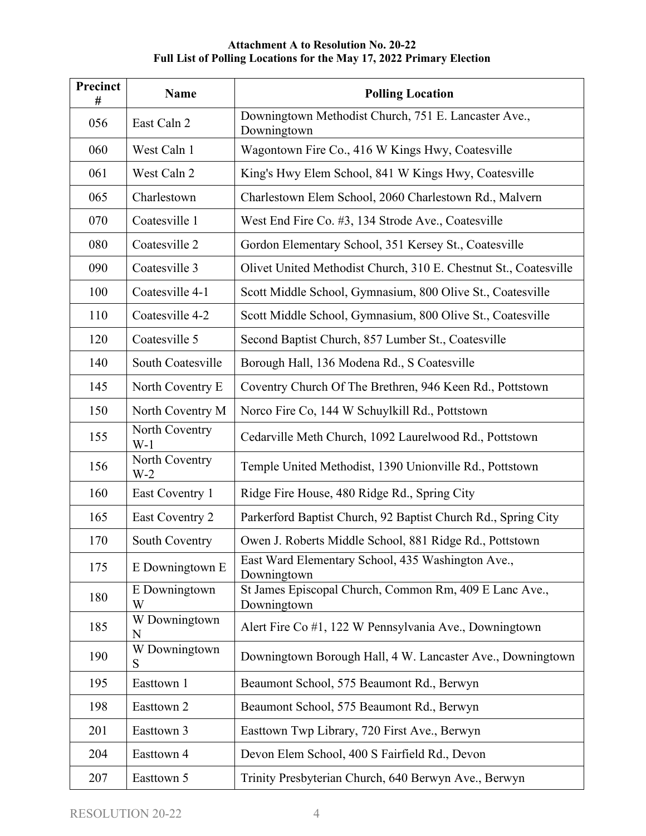| <b>Precinct</b><br># | <b>Name</b>             | <b>Polling Location</b>                                               |
|----------------------|-------------------------|-----------------------------------------------------------------------|
| 056                  | East Caln 2             | Downingtown Methodist Church, 751 E. Lancaster Ave.,<br>Downingtown   |
| 060                  | West Caln 1             | Wagontown Fire Co., 416 W Kings Hwy, Coatesville                      |
| 061                  | West Caln 2             | King's Hwy Elem School, 841 W Kings Hwy, Coatesville                  |
| 065                  | Charlestown             | Charlestown Elem School, 2060 Charlestown Rd., Malvern                |
| 070                  | Coatesville 1           | West End Fire Co. #3, 134 Strode Ave., Coatesville                    |
| 080                  | Coatesville 2           | Gordon Elementary School, 351 Kersey St., Coatesville                 |
| 090                  | Coatesville 3           | Olivet United Methodist Church, 310 E. Chestnut St., Coatesville      |
| 100                  | Coatesville 4-1         | Scott Middle School, Gymnasium, 800 Olive St., Coatesville            |
| 110                  | Coatesville 4-2         | Scott Middle School, Gymnasium, 800 Olive St., Coatesville            |
| 120                  | Coatesville 5           | Second Baptist Church, 857 Lumber St., Coatesville                    |
| 140                  | South Coatesville       | Borough Hall, 136 Modena Rd., S Coatesville                           |
| 145                  | North Coventry E        | Coventry Church Of The Brethren, 946 Keen Rd., Pottstown              |
| 150                  | North Coventry M        | Norco Fire Co, 144 W Schuylkill Rd., Pottstown                        |
| 155                  | North Coventry<br>$W-1$ | Cedarville Meth Church, 1092 Laurelwood Rd., Pottstown                |
| 156                  | North Coventry<br>$W-2$ | Temple United Methodist, 1390 Unionville Rd., Pottstown               |
| 160                  | East Coventry 1         | Ridge Fire House, 480 Ridge Rd., Spring City                          |
| 165                  | East Coventry 2         | Parkerford Baptist Church, 92 Baptist Church Rd., Spring City         |
| 170                  | South Coventry          | Owen J. Roberts Middle School, 881 Ridge Rd., Pottstown               |
| 175                  | E Downingtown E         | East Ward Elementary School, 435 Washington Ave.,<br>Downingtown      |
| 180                  | E Downingtown<br>W      | St James Episcopal Church, Common Rm, 409 E Lanc Ave.,<br>Downingtown |
| 185                  | W Downingtown<br>N      | Alert Fire Co #1, 122 W Pennsylvania Ave., Downingtown                |
| 190                  | W Downingtown<br>S      | Downingtown Borough Hall, 4 W. Lancaster Ave., Downingtown            |
| 195                  | Easttown 1              | Beaumont School, 575 Beaumont Rd., Berwyn                             |
| 198                  | Easttown 2              | Beaumont School, 575 Beaumont Rd., Berwyn                             |
| 201                  | Easttown 3              | Easttown Twp Library, 720 First Ave., Berwyn                          |
| 204                  | Easttown 4              | Devon Elem School, 400 S Fairfield Rd., Devon                         |
| 207                  | Easttown 5              | Trinity Presbyterian Church, 640 Berwyn Ave., Berwyn                  |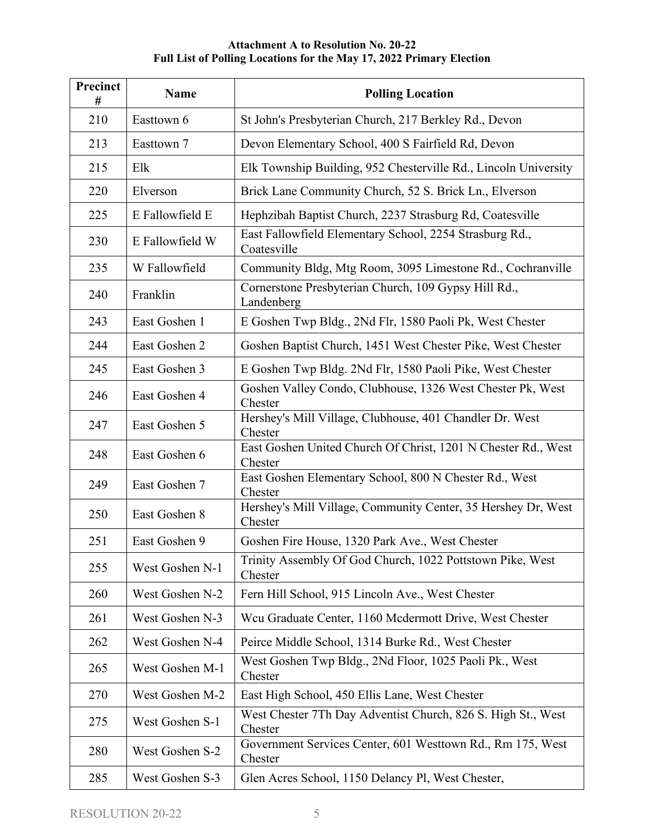| Precinct<br># | <b>Name</b>     | <b>Polling Location</b>                                                  |
|---------------|-----------------|--------------------------------------------------------------------------|
| 210           | Easttown 6      | St John's Presbyterian Church, 217 Berkley Rd., Devon                    |
| 213           | Easttown 7      | Devon Elementary School, 400 S Fairfield Rd, Devon                       |
| 215           | Elk             | Elk Township Building, 952 Chesterville Rd., Lincoln University          |
| 220           | Elverson        | Brick Lane Community Church, 52 S. Brick Ln., Elverson                   |
| 225           | E Fallowfield E | Hephzibah Baptist Church, 2237 Strasburg Rd, Coatesville                 |
| 230           | E Fallowfield W | East Fallowfield Elementary School, 2254 Strasburg Rd.,<br>Coatesville   |
| 235           | W Fallowfield   | Community Bldg, Mtg Room, 3095 Limestone Rd., Cochranville               |
| 240           | Franklin        | Cornerstone Presbyterian Church, 109 Gypsy Hill Rd.,<br>Landenberg       |
| 243           | East Goshen 1   | E Goshen Twp Bldg., 2Nd Flr, 1580 Paoli Pk, West Chester                 |
| 244           | East Goshen 2   | Goshen Baptist Church, 1451 West Chester Pike, West Chester              |
| 245           | East Goshen 3   | E Goshen Twp Bldg. 2Nd Flr, 1580 Paoli Pike, West Chester                |
| 246           | East Goshen 4   | Goshen Valley Condo, Clubhouse, 1326 West Chester Pk, West<br>Chester    |
| 247           | East Goshen 5   | Hershey's Mill Village, Clubhouse, 401 Chandler Dr. West<br>Chester      |
| 248           | East Goshen 6   | East Goshen United Church Of Christ, 1201 N Chester Rd., West<br>Chester |
| 249           | East Goshen 7   | East Goshen Elementary School, 800 N Chester Rd., West<br>Chester        |
| 250           | East Goshen 8   | Hershey's Mill Village, Community Center, 35 Hershey Dr, West<br>Chester |
| 251           | East Goshen 9   | Goshen Fire House, 1320 Park Ave., West Chester                          |
| 255           | West Goshen N-1 | Trinity Assembly Of God Church, 1022 Pottstown Pike, West<br>Chester     |
| 260           | West Goshen N-2 | Fern Hill School, 915 Lincoln Ave., West Chester                         |
| 261           | West Goshen N-3 | Weu Graduate Center, 1160 Mcdermott Drive, West Chester                  |
| 262           | West Goshen N-4 | Peirce Middle School, 1314 Burke Rd., West Chester                       |
| 265           | West Goshen M-1 | West Goshen Twp Bldg., 2Nd Floor, 1025 Paoli Pk., West<br>Chester        |
| 270           | West Goshen M-2 | East High School, 450 Ellis Lane, West Chester                           |
| 275           | West Goshen S-1 | West Chester 7Th Day Adventist Church, 826 S. High St., West<br>Chester  |
| 280           | West Goshen S-2 | Government Services Center, 601 Westtown Rd., Rm 175, West<br>Chester    |
| 285           | West Goshen S-3 | Glen Acres School, 1150 Delancy Pl, West Chester,                        |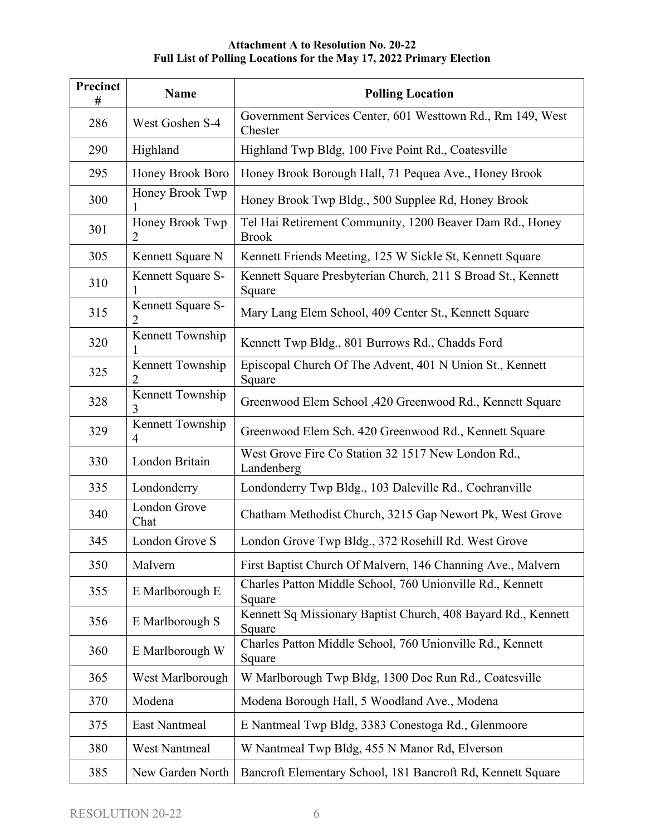| Precinct<br># | Name                   | <b>Polling Location</b>                                                  |
|---------------|------------------------|--------------------------------------------------------------------------|
| 286           | West Goshen S-4        | Government Services Center, 601 Westtown Rd., Rm 149, West<br>Chester    |
| 290           | Highland               | Highland Twp Bldg, 100 Five Point Rd., Coatesville                       |
| 295           | Honey Brook Boro       | Honey Brook Borough Hall, 71 Pequea Ave., Honey Brook                    |
| 300           | Honey Brook Twp        | Honey Brook Twp Bldg., 500 Supplee Rd, Honey Brook                       |
| 301           | Honey Brook Twp<br>2   | Tel Hai Retirement Community, 1200 Beaver Dam Rd., Honey<br><b>Brook</b> |
| 305           | Kennett Square N       | Kennett Friends Meeting, 125 W Sickle St, Kennett Square                 |
| 310           | Kennett Square S-<br>1 | Kennett Square Presbyterian Church, 211 S Broad St., Kennett<br>Square   |
| 315           | Kennett Square S-<br>2 | Mary Lang Elem School, 409 Center St., Kennett Square                    |
| 320           | Kennett Township       | Kennett Twp Bldg., 801 Burrows Rd., Chadds Ford                          |
| 325           | Kennett Township<br>2  | Episcopal Church Of The Advent, 401 N Union St., Kennett<br>Square       |
| 328           | Kennett Township<br>3  | Greenwood Elem School ,420 Greenwood Rd., Kennett Square                 |
| 329           | Kennett Township<br>4  | Greenwood Elem Sch. 420 Greenwood Rd., Kennett Square                    |
| 330           | London Britain         | West Grove Fire Co Station 32 1517 New London Rd.,<br>Landenberg         |
| 335           | Londonderry            | Londonderry Twp Bldg., 103 Daleville Rd., Cochranville                   |
| 340           | London Grove<br>Chat   | Chatham Methodist Church, 3215 Gap Newort Pk, West Grove                 |
| 345           | London Grove S         | London Grove Twp Bldg., 372 Rosehill Rd. West Grove                      |
| 350           | Malvern                | First Baptist Church Of Malvern, 146 Channing Ave., Malvern              |
| 355           | E Marlborough E        | Charles Patton Middle School, 760 Unionville Rd., Kennett<br>Square      |
| 356           | E Marlborough S        | Kennett Sq Missionary Baptist Church, 408 Bayard Rd., Kennett<br>Square  |
| 360           | E Marlborough W        | Charles Patton Middle School, 760 Unionville Rd., Kennett<br>Square      |
| 365           | West Marlborough       | W Marlborough Twp Bldg, 1300 Doe Run Rd., Coatesville                    |
| 370           | Modena                 | Modena Borough Hall, 5 Woodland Ave., Modena                             |
| 375           | <b>East Nantmeal</b>   | E Nantmeal Twp Bldg, 3383 Conestoga Rd., Glenmoore                       |
| 380           | <b>West Nantmeal</b>   | W Nantmeal Twp Bldg, 455 N Manor Rd, Elverson                            |
| 385           | New Garden North       | Bancroft Elementary School, 181 Bancroft Rd, Kennett Square              |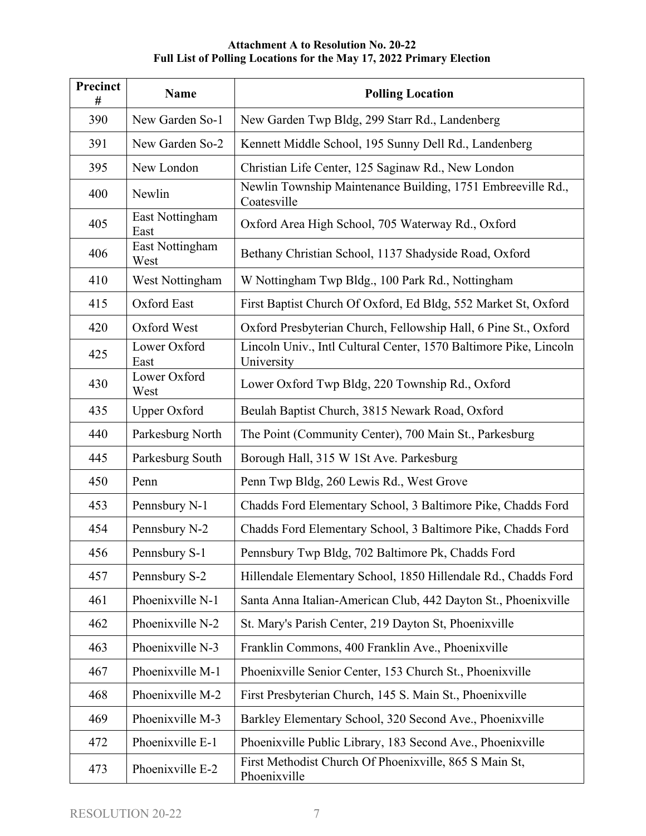| Precinct<br># | <b>Name</b>             | <b>Polling Location</b>                                                         |
|---------------|-------------------------|---------------------------------------------------------------------------------|
| 390           | New Garden So-1         | New Garden Twp Bldg, 299 Starr Rd., Landenberg                                  |
| 391           | New Garden So-2         | Kennett Middle School, 195 Sunny Dell Rd., Landenberg                           |
| 395           | New London              | Christian Life Center, 125 Saginaw Rd., New London                              |
| 400           | Newlin                  | Newlin Township Maintenance Building, 1751 Embreeville Rd.,<br>Coatesville      |
| 405           | East Nottingham<br>East | Oxford Area High School, 705 Waterway Rd., Oxford                               |
| 406           | East Nottingham<br>West | Bethany Christian School, 1137 Shadyside Road, Oxford                           |
| 410           | West Nottingham         | W Nottingham Twp Bldg., 100 Park Rd., Nottingham                                |
| 415           | Oxford East             | First Baptist Church Of Oxford, Ed Bldg, 552 Market St, Oxford                  |
| 420           | Oxford West             | Oxford Presbyterian Church, Fellowship Hall, 6 Pine St., Oxford                 |
| 425           | Lower Oxford<br>East    | Lincoln Univ., Intl Cultural Center, 1570 Baltimore Pike, Lincoln<br>University |
| 430           | Lower Oxford<br>West    | Lower Oxford Twp Bldg, 220 Township Rd., Oxford                                 |
| 435           | <b>Upper Oxford</b>     | Beulah Baptist Church, 3815 Newark Road, Oxford                                 |
| 440           | Parkesburg North        | The Point (Community Center), 700 Main St., Parkesburg                          |
| 445           | Parkesburg South        | Borough Hall, 315 W 1St Ave. Parkesburg                                         |
| 450           | Penn                    | Penn Twp Bldg, 260 Lewis Rd., West Grove                                        |
| 453           | Pennsbury N-1           | Chadds Ford Elementary School, 3 Baltimore Pike, Chadds Ford                    |
| 454           | Pennsbury N-2           | Chadds Ford Elementary School, 3 Baltimore Pike, Chadds Ford                    |
| 456           | Pennsbury S-1           | Pennsbury Twp Bldg, 702 Baltimore Pk, Chadds Ford                               |
| 457           | Pennsbury S-2           | Hillendale Elementary School, 1850 Hillendale Rd., Chadds Ford                  |
| 461           | Phoenixville N-1        | Santa Anna Italian-American Club, 442 Dayton St., Phoenixville                  |
| 462           | Phoenixville N-2        | St. Mary's Parish Center, 219 Dayton St, Phoenixville                           |
| 463           | Phoenixville N-3        | Franklin Commons, 400 Franklin Ave., Phoenixville                               |
| 467           | Phoenixville M-1        | Phoenixville Senior Center, 153 Church St., Phoenixville                        |
| 468           | Phoenixville M-2        | First Presbyterian Church, 145 S. Main St., Phoenixville                        |
| 469           | Phoenixville M-3        | Barkley Elementary School, 320 Second Ave., Phoenixville                        |
| 472           | Phoenixville E-1        | Phoenixville Public Library, 183 Second Ave., Phoenixville                      |
| 473           | Phoenixville E-2        | First Methodist Church Of Phoenixville, 865 S Main St,<br>Phoenixville          |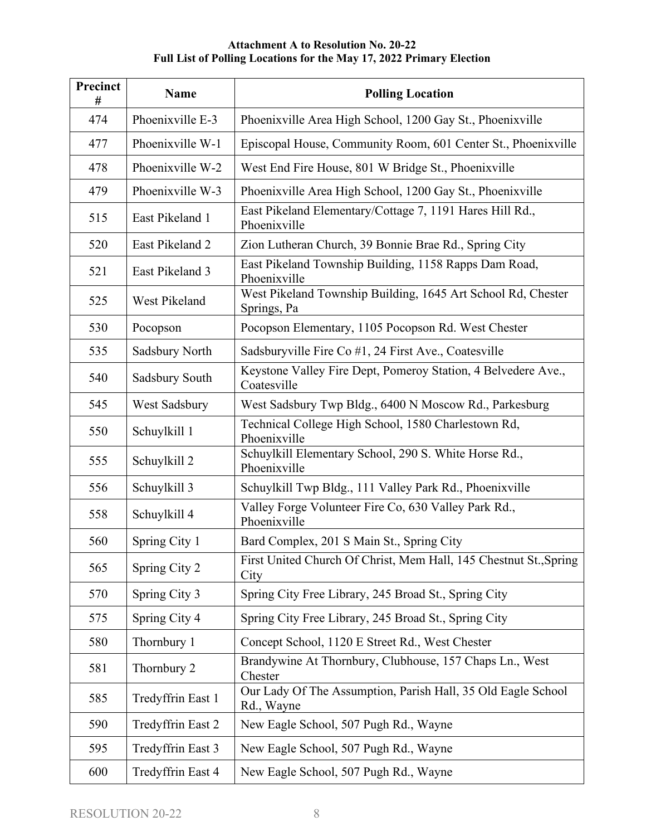| Precinct<br># | Name              | <b>Polling Location</b>                                                      |
|---------------|-------------------|------------------------------------------------------------------------------|
| 474           | Phoenixville E-3  | Phoenixville Area High School, 1200 Gay St., Phoenixville                    |
| 477           | Phoenixville W-1  | Episcopal House, Community Room, 601 Center St., Phoenixville                |
| 478           | Phoenixville W-2  | West End Fire House, 801 W Bridge St., Phoenixville                          |
| 479           | Phoenixville W-3  | Phoenixville Area High School, 1200 Gay St., Phoenixville                    |
| 515           | East Pikeland 1   | East Pikeland Elementary/Cottage 7, 1191 Hares Hill Rd.,<br>Phoenixville     |
| 520           | East Pikeland 2   | Zion Lutheran Church, 39 Bonnie Brae Rd., Spring City                        |
| 521           | East Pikeland 3   | East Pikeland Township Building, 1158 Rapps Dam Road,<br>Phoenixville        |
| 525           | West Pikeland     | West Pikeland Township Building, 1645 Art School Rd, Chester<br>Springs, Pa  |
| 530           | Pocopson          | Pocopson Elementary, 1105 Pocopson Rd. West Chester                          |
| 535           | Sadsbury North    | Sadsburyville Fire Co #1, 24 First Ave., Coatesville                         |
| 540           | Sadsbury South    | Keystone Valley Fire Dept, Pomeroy Station, 4 Belvedere Ave.,<br>Coatesville |
| 545           | West Sadsbury     | West Sadsbury Twp Bldg., 6400 N Moscow Rd., Parkesburg                       |
| 550           | Schuylkill 1      | Technical College High School, 1580 Charlestown Rd,<br>Phoenixville          |
| 555           | Schuylkill 2      | Schuylkill Elementary School, 290 S. White Horse Rd.,<br>Phoenixville        |
| 556           | Schuylkill 3      | Schuylkill Twp Bldg., 111 Valley Park Rd., Phoenixville                      |
| 558           | Schuylkill 4      | Valley Forge Volunteer Fire Co, 630 Valley Park Rd.,<br>Phoenixville         |
| 560           | Spring City 1     | Bard Complex, 201 S Main St., Spring City                                    |
| 565           | Spring City 2     | First United Church Of Christ, Mem Hall, 145 Chestnut St., Spring<br>City    |
| 570           | Spring City 3     | Spring City Free Library, 245 Broad St., Spring City                         |
| 575           | Spring City 4     | Spring City Free Library, 245 Broad St., Spring City                         |
| 580           | Thornbury 1       | Concept School, 1120 E Street Rd., West Chester                              |
| 581           | Thornbury 2       | Brandywine At Thornbury, Clubhouse, 157 Chaps Ln., West<br>Chester           |
| 585           | Tredyffrin East 1 | Our Lady Of The Assumption, Parish Hall, 35 Old Eagle School<br>Rd., Wayne   |
| 590           | Tredyffrin East 2 | New Eagle School, 507 Pugh Rd., Wayne                                        |
| 595           | Tredyffrin East 3 | New Eagle School, 507 Pugh Rd., Wayne                                        |
| 600           | Tredyffrin East 4 | New Eagle School, 507 Pugh Rd., Wayne                                        |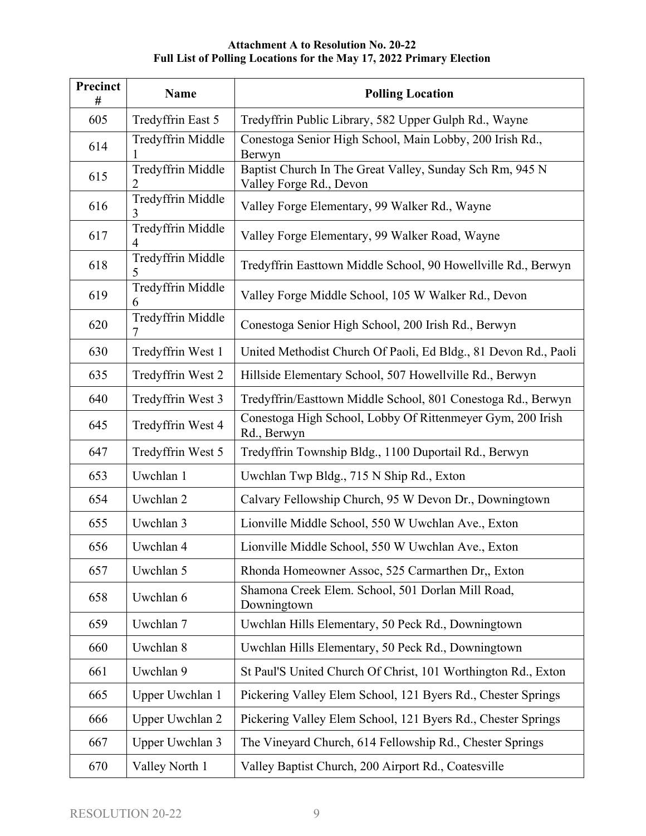| Precinct<br># | <b>Name</b>            | <b>Polling Location</b>                                                             |
|---------------|------------------------|-------------------------------------------------------------------------------------|
| 605           | Tredyffrin East 5      | Tredyffrin Public Library, 582 Upper Gulph Rd., Wayne                               |
| 614           | Tredyffrin Middle      | Conestoga Senior High School, Main Lobby, 200 Irish Rd.,<br>Berwyn                  |
| 615           | Tredyffrin Middle<br>2 | Baptist Church In The Great Valley, Sunday Sch Rm, 945 N<br>Valley Forge Rd., Devon |
| 616           | Tredyffrin Middle<br>3 | Valley Forge Elementary, 99 Walker Rd., Wayne                                       |
| 617           | Tredyffrin Middle<br>4 | Valley Forge Elementary, 99 Walker Road, Wayne                                      |
| 618           | Tredyffrin Middle<br>5 | Tredyffrin Easttown Middle School, 90 Howellville Rd., Berwyn                       |
| 619           | Tredyffrin Middle<br>6 | Valley Forge Middle School, 105 W Walker Rd., Devon                                 |
| 620           | Tredyffrin Middle<br>7 | Conestoga Senior High School, 200 Irish Rd., Berwyn                                 |
| 630           | Tredyffrin West 1      | United Methodist Church Of Paoli, Ed Bldg., 81 Devon Rd., Paoli                     |
| 635           | Tredyffrin West 2      | Hillside Elementary School, 507 Howellville Rd., Berwyn                             |
| 640           | Tredyffrin West 3      | Tredyffrin/Easttown Middle School, 801 Conestoga Rd., Berwyn                        |
| 645           | Tredyffrin West 4      | Conestoga High School, Lobby Of Rittenmeyer Gym, 200 Irish<br>Rd., Berwyn           |
| 647           | Tredyffrin West 5      | Tredyffrin Township Bldg., 1100 Duportail Rd., Berwyn                               |
| 653           | Uwchlan 1              | Uwchlan Twp Bldg., 715 N Ship Rd., Exton                                            |
| 654           | Uwchlan 2              | Calvary Fellowship Church, 95 W Devon Dr., Downingtown                              |
| 655           | Uwchlan 3              | Lionville Middle School, 550 W Uwchlan Ave., Exton                                  |
| 656           | Uwchlan 4              | Lionville Middle School, 550 W Uwchlan Ave., Exton                                  |
| 657           | Uwchlan 5              | Rhonda Homeowner Assoc, 525 Carmarthen Dr., Exton                                   |
| 658           | Uwchlan 6              | Shamona Creek Elem. School, 501 Dorlan Mill Road,<br>Downingtown                    |
| 659           | Uwchlan 7              | Uwchlan Hills Elementary, 50 Peck Rd., Downingtown                                  |
| 660           | Uwchlan 8              | Uwchlan Hills Elementary, 50 Peck Rd., Downingtown                                  |
| 661           | Uwchlan 9              | St Paul'S United Church Of Christ, 101 Worthington Rd., Exton                       |
| 665           | Upper Uwchlan 1        | Pickering Valley Elem School, 121 Byers Rd., Chester Springs                        |
| 666           | Upper Uwchlan 2        | Pickering Valley Elem School, 121 Byers Rd., Chester Springs                        |
| 667           | Upper Uwchlan 3        | The Vineyard Church, 614 Fellowship Rd., Chester Springs                            |
| 670           | Valley North 1         | Valley Baptist Church, 200 Airport Rd., Coatesville                                 |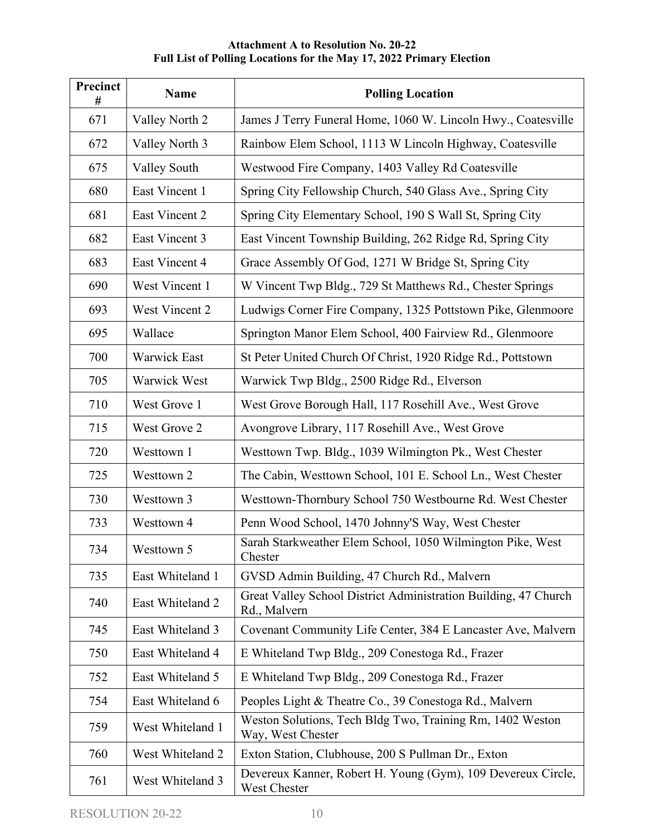| Precinct<br># | Name                | <b>Polling Location</b>                                                         |
|---------------|---------------------|---------------------------------------------------------------------------------|
| 671           | Valley North 2      | James J Terry Funeral Home, 1060 W. Lincoln Hwy., Coatesville                   |
| 672           | Valley North 3      | Rainbow Elem School, 1113 W Lincoln Highway, Coatesville                        |
| 675           | Valley South        | Westwood Fire Company, 1403 Valley Rd Coatesville                               |
| 680           | East Vincent 1      | Spring City Fellowship Church, 540 Glass Ave., Spring City                      |
| 681           | East Vincent 2      | Spring City Elementary School, 190 S Wall St, Spring City                       |
| 682           | East Vincent 3      | East Vincent Township Building, 262 Ridge Rd, Spring City                       |
| 683           | East Vincent 4      | Grace Assembly Of God, 1271 W Bridge St, Spring City                            |
| 690           | West Vincent 1      | W Vincent Twp Bldg., 729 St Matthews Rd., Chester Springs                       |
| 693           | West Vincent 2      | Ludwigs Corner Fire Company, 1325 Pottstown Pike, Glenmoore                     |
| 695           | Wallace             | Springton Manor Elem School, 400 Fairview Rd., Glenmoore                        |
| 700           | <b>Warwick East</b> | St Peter United Church Of Christ, 1920 Ridge Rd., Pottstown                     |
| 705           | Warwick West        | Warwick Twp Bldg., 2500 Ridge Rd., Elverson                                     |
| 710           | West Grove 1        | West Grove Borough Hall, 117 Rosehill Ave., West Grove                          |
| 715           | West Grove 2        | Avongrove Library, 117 Rosehill Ave., West Grove                                |
| 720           | Westtown 1          | Westtown Twp. Bldg., 1039 Wilmington Pk., West Chester                          |
| 725           | Westtown 2          | The Cabin, Westtown School, 101 E. School Ln., West Chester                     |
| 730           | Westtown 3          | Westtown-Thornbury School 750 Westbourne Rd. West Chester                       |
| 733           | Westtown 4          | Penn Wood School, 1470 Johnny'S Way, West Chester                               |
| 734           | Westtown 5          | Sarah Starkweather Elem School, 1050 Wilmington Pike, West<br>Chester           |
| 735           | East Whiteland 1    | GVSD Admin Building, 47 Church Rd., Malvern                                     |
| 740           | East Whiteland 2    | Great Valley School District Administration Building, 47 Church<br>Rd., Malvern |
| 745           | East Whiteland 3    | Covenant Community Life Center, 384 E Lancaster Ave, Malvern                    |
| 750           | East Whiteland 4    | E Whiteland Twp Bldg., 209 Conestoga Rd., Frazer                                |
| 752           | East Whiteland 5    | E Whiteland Twp Bldg., 209 Conestoga Rd., Frazer                                |
| 754           | East Whiteland 6    | Peoples Light & Theatre Co., 39 Conestoga Rd., Malvern                          |
| 759           | West Whiteland 1    | Weston Solutions, Tech Bldg Two, Training Rm, 1402 Weston<br>Way, West Chester  |
| 760           | West Whiteland 2    | Exton Station, Clubhouse, 200 S Pullman Dr., Exton                              |
| 761           | West Whiteland 3    | Devereux Kanner, Robert H. Young (Gym), 109 Devereux Circle,<br>West Chester    |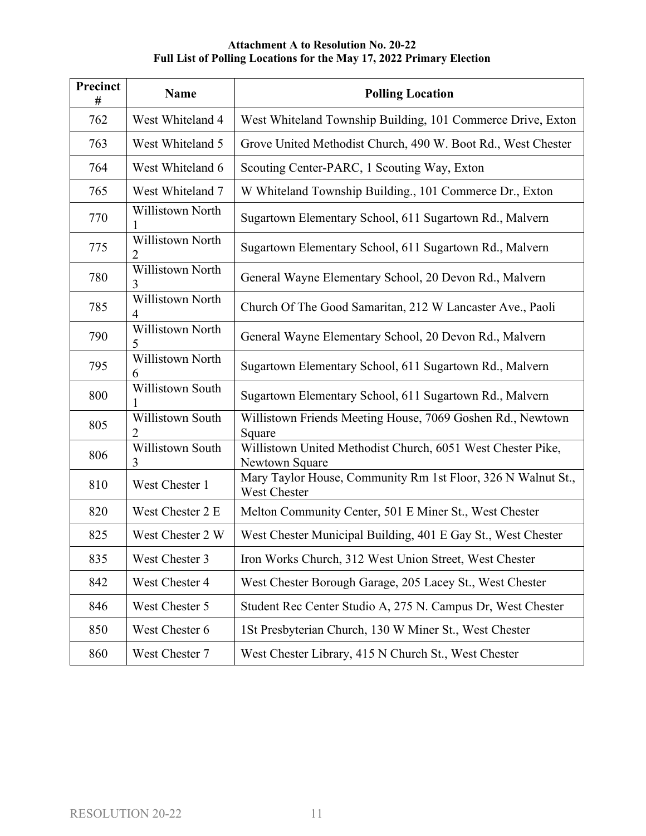| Precinct<br># | <b>Name</b>                  | <b>Polling Location</b>                                                       |
|---------------|------------------------------|-------------------------------------------------------------------------------|
| 762           | West Whiteland 4             | West Whiteland Township Building, 101 Commerce Drive, Exton                   |
| 763           | West Whiteland 5             | Grove United Methodist Church, 490 W. Boot Rd., West Chester                  |
| 764           | West Whiteland 6             | Scouting Center-PARC, 1 Scouting Way, Exton                                   |
| 765           | West Whiteland 7             | W Whiteland Township Building., 101 Commerce Dr., Exton                       |
| 770           | <b>Willistown North</b>      | Sugartown Elementary School, 611 Sugartown Rd., Malvern                       |
| 775           | <b>Willistown North</b><br>2 | Sugartown Elementary School, 611 Sugartown Rd., Malvern                       |
| 780           | Willistown North<br>3        | General Wayne Elementary School, 20 Devon Rd., Malvern                        |
| 785           | Willistown North<br>4        | Church Of The Good Samaritan, 212 W Lancaster Ave., Paoli                     |
| 790           | Willistown North<br>5        | General Wayne Elementary School, 20 Devon Rd., Malvern                        |
| 795           | Willistown North<br>6        | Sugartown Elementary School, 611 Sugartown Rd., Malvern                       |
| 800           | Willistown South             | Sugartown Elementary School, 611 Sugartown Rd., Malvern                       |
| 805           | Willistown South<br>2        | Willistown Friends Meeting House, 7069 Goshen Rd., Newtown<br>Square          |
| 806           | Willistown South<br>3        | Willistown United Methodist Church, 6051 West Chester Pike,<br>Newtown Square |
| 810           | West Chester 1               | Mary Taylor House, Community Rm 1st Floor, 326 N Walnut St.,<br>West Chester  |
| 820           | West Chester 2 E             | Melton Community Center, 501 E Miner St., West Chester                        |
| 825           | West Chester 2 W             | West Chester Municipal Building, 401 E Gay St., West Chester                  |
| 835           | West Chester 3               | Iron Works Church, 312 West Union Street, West Chester                        |
| 842           | West Chester 4               | West Chester Borough Garage, 205 Lacey St., West Chester                      |
| 846           | West Chester 5               | Student Rec Center Studio A, 275 N. Campus Dr, West Chester                   |
| 850           | West Chester 6               | 1St Presbyterian Church, 130 W Miner St., West Chester                        |
| 860           | West Chester 7               | West Chester Library, 415 N Church St., West Chester                          |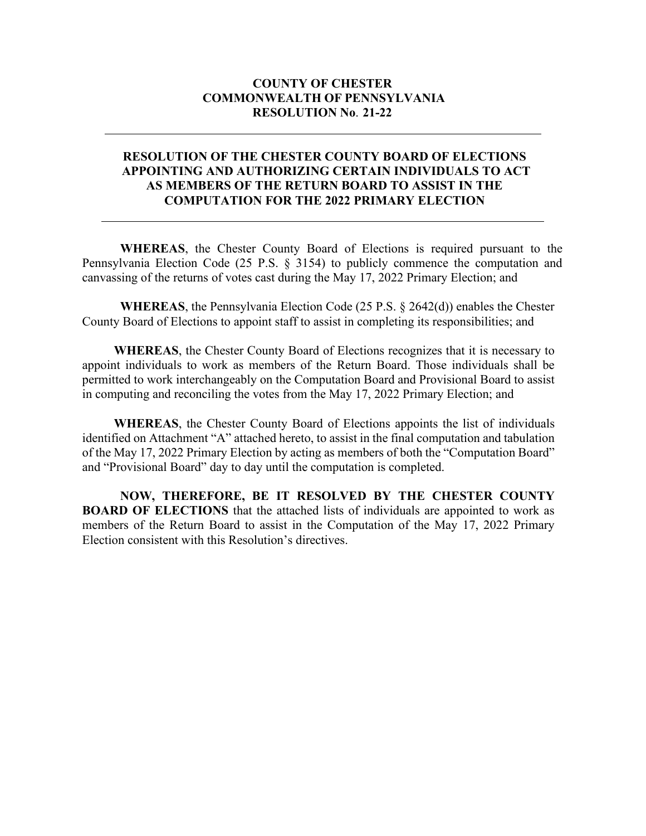#### **COUNTY OF CHESTER COMMONWEALTH OF PENNSYLVANIA RESOLUTION No**. **21-22**

#### **RESOLUTION OF THE CHESTER COUNTY BOARD OF ELECTIONS APPOINTING AND AUTHORIZING CERTAIN INDIVIDUALS TO ACT AS MEMBERS OF THE RETURN BOARD TO ASSIST IN THE COMPUTATION FOR THE 2022 PRIMARY ELECTION**

**WHEREAS**, the Chester County Board of Elections is required pursuant to the Pennsylvania Election Code (25 P.S. § 3154) to publicly commence the computation and canvassing of the returns of votes cast during the May 17, 2022 Primary Election; and

**WHEREAS**, the Pennsylvania Election Code (25 P.S. § 2642(d)) enables the Chester County Board of Elections to appoint staff to assist in completing its responsibilities; and

**WHEREAS**, the Chester County Board of Elections recognizes that it is necessary to appoint individuals to work as members of the Return Board. Those individuals shall be permitted to work interchangeably on the Computation Board and Provisional Board to assist in computing and reconciling the votes from the May 17, 2022 Primary Election; and

**WHEREAS**, the Chester County Board of Elections appoints the list of individuals identified on Attachment "A" attached hereto, to assist in the final computation and tabulation of the May 17, 2022 Primary Election by acting as members of both the "Computation Board" and "Provisional Board" day to day until the computation is completed.

**NOW, THEREFORE, BE IT RESOLVED BY THE CHESTER COUNTY BOARD OF ELECTIONS** that the attached lists of individuals are appointed to work as members of the Return Board to assist in the Computation of the May 17, 2022 Primary Election consistent with this Resolution's directives.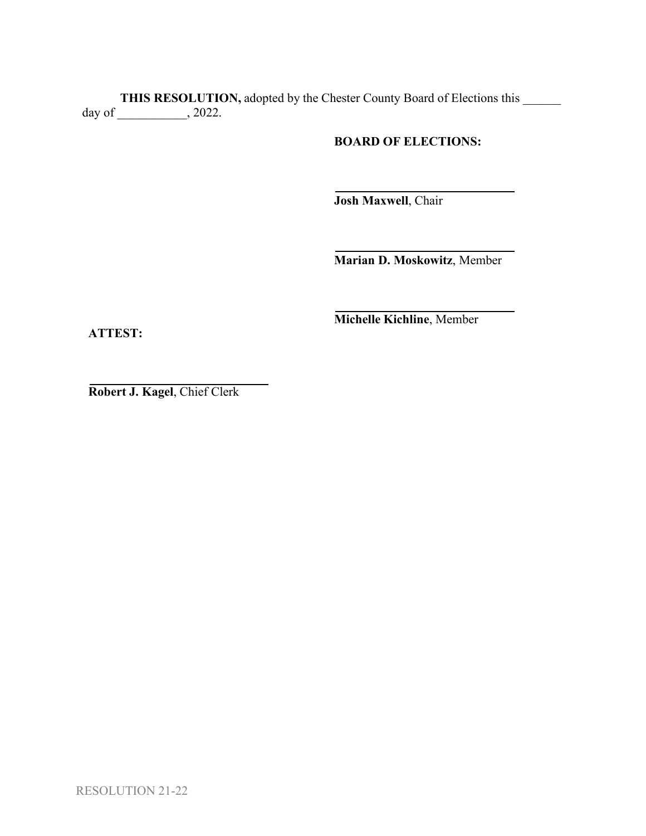**THIS RESOLUTION,** adopted by the Chester County Board of Elections this \_\_\_\_\_\_ day of \_\_\_\_\_\_\_\_\_\_\_, 2022.

**BOARD OF ELECTIONS:**

**Josh Maxwell**, Chair

**Marian D. Moskowitz**, Member

**Michelle Kichline**, Member

**ATTEST:**

**Robert J. Kagel**, Chief Clerk